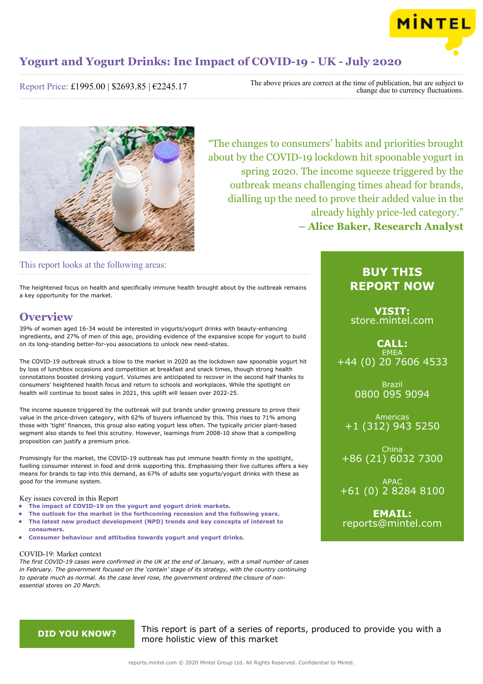

Report Price: £1995.00 | \$2693.85 | €2245.17

The above prices are correct at the time of publication, but are subject to change due to currency fluctuations.



"The changes to consumers' habits and priorities brought about by the COVID-19 lockdown hit spoonable yogurt in spring 2020. The income squeeze triggered by the outbreak means challenging times ahead for brands, dialling up the need to prove their added value in the already highly price-led category." **– Alice Baker, Research Analyst**

## This report looks at the following areas:

The heightened focus on health and specifically immune health brought about by the outbreak remains a key opportunity for the market.

## **Overview**

39% of women aged 16-34 would be interested in yogurts/yogurt drinks with beauty-enhancing ingredients, and 27% of men of this age, providing evidence of the expansive scope for yogurt to build on its long-standing better-for-you associations to unlock new need-states.

The COVID-19 outbreak struck a blow to the market in 2020 as the lockdown saw spoonable yogurt hit by loss of lunchbox occasions and competition at breakfast and snack times, though strong health connotations boosted drinking yogurt. Volumes are anticipated to recover in the second half thanks to consumers' heightened health focus and return to schools and workplaces. While the spotlight on health will continue to boost sales in 2021, this uplift will lessen over 2022-25.

The income squeeze triggered by the outbreak will put brands under growing pressure to prove their value in the price-driven category, with 62% of buyers influenced by this. This rises to 71% among those with 'tight' finances, this group also eating yogurt less often. The typically pricier plant-based segment also stands to feel this scrutiny. However, learnings from 2008-10 show that a compelling proposition can justify a premium price.

Promisingly for the market, the COVID-19 outbreak has put immune health firmly in the spotlight, fuelling consumer interest in food and drink supporting this. Emphasising their live cultures offers a key means for brands to tap into this demand, as 67% of adults see yogurts/yogurt drinks with these as good for the immune system.

### Key issues covered in this Report

- **• The impact of COVID-19 on the yogurt and yogurt drink markets.**
- **• The outlook for the market in the forthcoming recession and the following years.**
- **• The latest new product development (NPD) trends and key concepts of interest to consumers.**
- **• Consumer behaviour and attitudes towards yogurt and yogurt drinks.**

### COVID-19: Market context

*The first COVID-19 cases were confirmed in the UK at the end of January, with a small number of cases in February. The government focused on the 'contain' stage of its strategy, with the country continuing to operate much as normal. As the case level rose, the government ordered the closure of nonessential stores on 20 March.*

## **BUY THIS REPORT NOW**

**VISIT:** [store.mintel.com](/reports.mintel.com//display/store/989436/)

## **CALL: FMFA** +44 (0) 20 7606 4533

Brazil 0800 095 9094

Americas +1 (312) 943 5250

China +86 (21) 6032 7300

APAC +61 (0) 2 8284 8100

**EMAIL:** [reports@mintel.com](mailto:reports@mintel.com)

**DID YOU KNOW?** This report is part of a series of reports, produced to provide you with a more holistic view of this market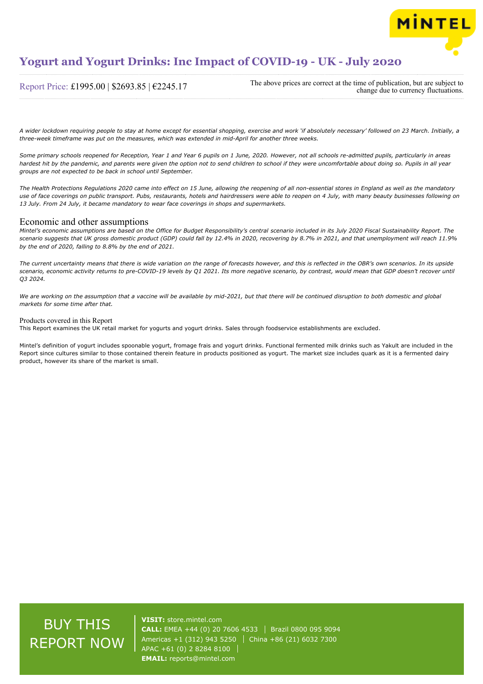

### Report Price: £1995.00 | \$2693.85 | €2245.17

The above prices are correct at the time of publication, but are subject to change due to currency fluctuations.

*A wider lockdown requiring people to stay at home except for essential shopping, exercise and work 'if absolutely necessary' followed on 23 March. Initially, a three-week timeframe was put on the measures, which was extended in mid-April for another three weeks.*

*Some primary schools reopened for Reception, Year 1 and Year 6 pupils on 1 June, 2020. However, not all schools re-admitted pupils, particularly in areas hardest hit by the pandemic, and parents were given the option not to send children to school if they were uncomfortable about doing so. Pupils in all year groups are not expected to be back in school until September.*

*The Health Protections Regulations 2020 came into effect on 15 June, allowing the reopening of all non-essential stores in England as well as the mandatory use of face coverings on public transport. Pubs, restaurants, hotels and hairdressers were able to reopen on 4 July, with many beauty businesses following on 13 July. From 24 July, it became mandatory to wear face coverings in shops and supermarkets.*

### Economic and other assumptions

*Mintel's economic assumptions are based on the Office for Budget Responsibility's central scenario included in its July 2020 Fiscal Sustainability Report. The scenario suggests that UK gross domestic product (GDP) could fall by 12.4% in 2020, recovering by 8.7% in 2021, and that unemployment will reach 11.9% by the end of 2020, falling to 8.8% by the end of 2021.*

*The current uncertainty means that there is wide variation on the range of forecasts however, and this is reflected in the OBR's own scenarios. In its upside scenario, economic activity returns to pre-COVID-19 levels by Q1 2021. Its more negative scenario, by contrast, would mean that GDP doesn't recover until Q3 2024.*

*We are working on the assumption that a vaccine will be available by mid-2021, but that there will be continued disruption to both domestic and global markets for some time after that.*

### Products covered in this Report

This Report examines the UK retail market for yogurts and yogurt drinks. Sales through foodservice establishments are excluded.

Mintel's definition of yogurt includes spoonable yogurt, fromage frais and yogurt drinks. Functional fermented milk drinks such as Yakult are included in the Report since cultures similar to those contained therein feature in products positioned as yogurt. The market size includes quark as it is a fermented dairy product, however its share of the market is small.

# BUY THIS REPORT NOW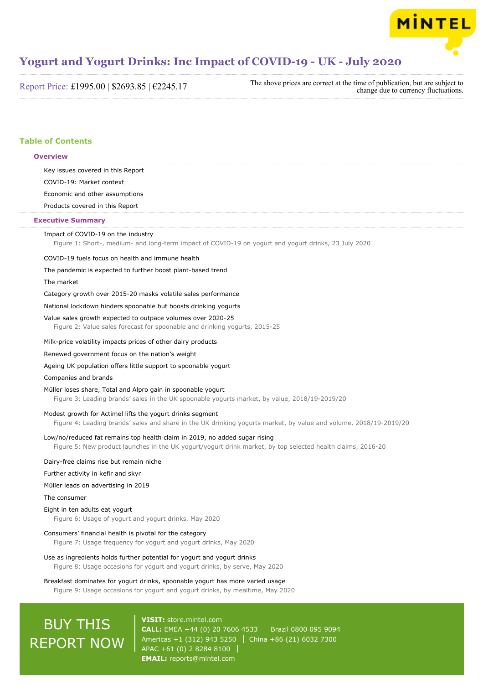

Report Price: £1995.00 | \$2693.85 | €2245.17

The above prices are correct at the time of publication, but are subject to change due to currency fluctuations.

## **Table of Contents**

| Key issues covered in this Report                                                                                                                                                         |
|-------------------------------------------------------------------------------------------------------------------------------------------------------------------------------------------|
| COVID-19: Market context                                                                                                                                                                  |
| Economic and other assumptions                                                                                                                                                            |
| Products covered in this Report                                                                                                                                                           |
| <b>Executive Summary</b>                                                                                                                                                                  |
| Impact of COVID-19 on the industry<br>Figure 1: Short-, medium- and long-term impact of COVID-19 on yogurt and yogurt drinks, 23 July 2020                                                |
| COVID-19 fuels focus on health and immune health                                                                                                                                          |
| The pandemic is expected to further boost plant-based trend                                                                                                                               |
| The market                                                                                                                                                                                |
| Category growth over 2015-20 masks volatile sales performance                                                                                                                             |
| National lockdown hinders spoonable but boosts drinking yogurts                                                                                                                           |
| Value sales growth expected to outpace volumes over 2020-25<br>Figure 2: Value sales forecast for spoonable and drinking yogurts, 2015-25                                                 |
| Milk-price volatility impacts prices of other dairy products                                                                                                                              |
| Renewed government focus on the nation's weight                                                                                                                                           |
| Ageing UK population offers little support to spoonable yogurt                                                                                                                            |
| Companies and brands                                                                                                                                                                      |
| Müller loses share, Total and Alpro gain in spoonable yogurt<br>Figure 3: Leading brands' sales in the UK spoonable yogurts market, by value, 2018/19-2019/20                             |
| Modest growth for Actimel lifts the yogurt drinks segment<br>Figure 4: Leading brands' sales and share in the UK drinking yogurts market, by value and volume, 2018/19-2019/20            |
| Low/no/reduced fat remains top health claim in 2019, no added sugar rising<br>Figure 5: New product launches in the UK yogurt/yogurt drink market, by top selected health claims, 2016-20 |
| Dairy-free claims rise but remain niche                                                                                                                                                   |
| Further activity in kefir and skyr                                                                                                                                                        |
| Müller leads on advertising in 2019                                                                                                                                                       |
| The consumer                                                                                                                                                                              |
| Eight in ten adults eat yogurt<br>Figure 6: Usage of yogurt and yogurt drinks, May 2020                                                                                                   |
| Consumers' financial health is pivotal for the category<br>Figure 7: Usage frequency for yogurt and yogurt drinks, May 2020                                                               |
| Use as ingredients holds further potential for yogurt and yogurt drinks<br>Figure 8: Usage occasions for yogurt and yogurt drinks, by serve, May 2020                                     |
| Breakfast dominates for yogurt drinks, spoonable yogurt has more varied usage<br>Figure 9: Usage occasions for yogurt and yogurt drinks, by mealtime, May 2020                            |

# BUY THIS REPORT NOW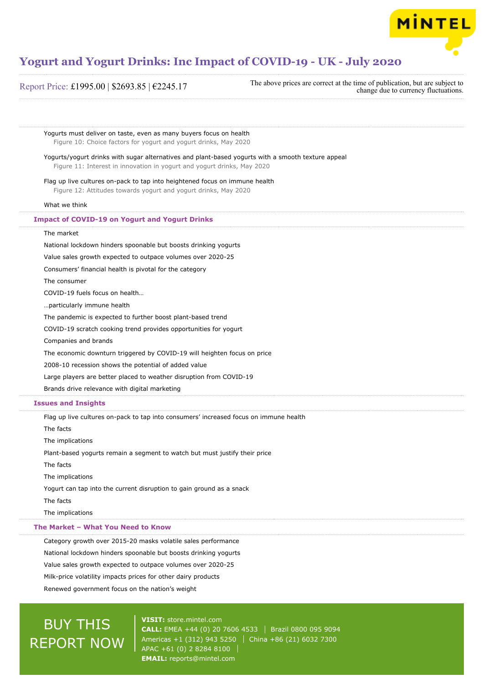

Report Price: £1995.00 | \$2693.85 | €2245.17 The above prices are correct at the time of publication, but are subject to change due to currency fluctuations.

Yogurts must deliver on taste, even as many buyers focus on health Figure 10: Choice factors for yogurt and yogurt drinks, May 2020 Yogurts/yogurt drinks with sugar alternatives and plant-based yogurts with a smooth texture appeal Figure 11: Interest in innovation in yogurt and yogurt drinks, May 2020 Flag up live cultures on-pack to tap into heightened focus on immune health Figure 12: Attitudes towards yogurt and yogurt drinks, May 2020 What we think The market National lockdown hinders spoonable but boosts drinking yogurts Value sales growth expected to outpace volumes over 2020-25 Consumers' financial health is pivotal for the category The consumer COVID-19 fuels focus on health… …particularly immune health The pandemic is expected to further boost plant-based trend COVID-19 scratch cooking trend provides opportunities for yogurt Companies and brands The economic downturn triggered by COVID-19 will heighten focus on price 2008-10 recession shows the potential of added value Large players are better placed to weather disruption from COVID-19 Brands drive relevance with digital marketing Flag up live cultures on-pack to tap into consumers' increased focus on immune health The facts The implications Plant-based yogurts remain a segment to watch but must justify their price The facts **Impact of COVID-19 on Yogurt and Yogurt Drinks Issues and Insights**

The implications

Yogurt can tap into the current disruption to gain ground as a snack

The facts

The implications

### **The Market – What You Need to Know**

Category growth over 2015-20 masks volatile sales performance National lockdown hinders spoonable but boosts drinking yogurts Value sales growth expected to outpace volumes over 2020-25 Milk-price volatility impacts prices for other dairy products Renewed government focus on the nation's weight

# BUY THIS REPORT NOW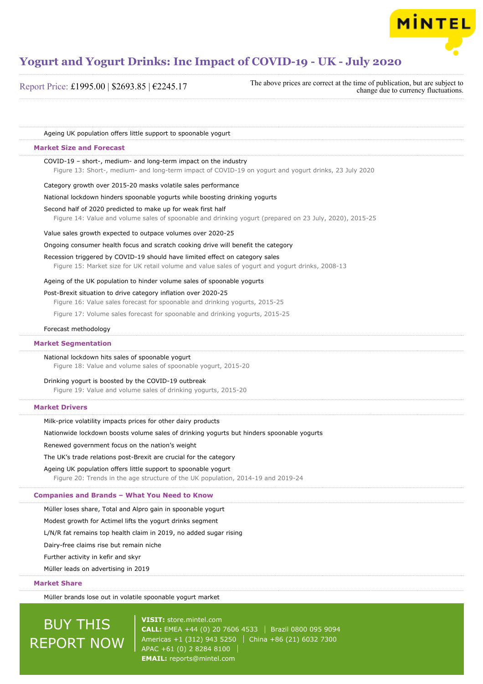

Report Price: £1995.00 | \$2693.85 | €2245.17

The above prices are correct at the time of publication, but are subject to change due to currency fluctuations.

| Ageing UK population offers little support to spoonable yogurt                                                                                                                   |
|----------------------------------------------------------------------------------------------------------------------------------------------------------------------------------|
| <b>Market Size and Forecast</b>                                                                                                                                                  |
| COVID-19 - short-, medium- and long-term impact on the industry<br>Figure 13: Short-, medium- and long-term impact of COVID-19 on yogurt and yogurt drinks, 23 July 2020         |
| Category growth over 2015-20 masks volatile sales performance                                                                                                                    |
| National lockdown hinders spoonable yogurts while boosting drinking yogurts                                                                                                      |
| Second half of 2020 predicted to make up for weak first half<br>Figure 14: Value and volume sales of spoonable and drinking yogurt (prepared on 23 July, 2020), 2015-25          |
| Value sales growth expected to outpace volumes over 2020-25                                                                                                                      |
| Ongoing consumer health focus and scratch cooking drive will benefit the category                                                                                                |
| Recession triggered by COVID-19 should have limited effect on category sales<br>Figure 15: Market size for UK retail volume and value sales of yogurt and yogurt drinks, 2008-13 |
| Ageing of the UK population to hinder volume sales of spoonable yogurts                                                                                                          |
| Post-Brexit situation to drive category inflation over 2020-25<br>Figure 16: Value sales forecast for spoonable and drinking yogurts, 2015-25                                    |
| Figure 17: Volume sales forecast for spoonable and drinking yogurts, 2015-25                                                                                                     |
| Forecast methodology                                                                                                                                                             |
| <b>Market Segmentation</b>                                                                                                                                                       |
| National lockdown hits sales of spoonable yogurt<br>Figure 18: Value and volume sales of spoonable yogurt, 2015-20                                                               |
| Drinking yogurt is boosted by the COVID-19 outbreak<br>Figure 19: Value and volume sales of drinking yogurts, 2015-20                                                            |
| <b>Market Drivers</b>                                                                                                                                                            |
| Milk-price volatility impacts prices for other dairy products                                                                                                                    |
| Nationwide lockdown boosts volume sales of drinking yogurts but hinders spoonable yogurts                                                                                        |
| Renewed government focus on the nation's weight                                                                                                                                  |
| The UK's trade relations post-Brexit are crucial for the category                                                                                                                |
| Ageing UK population offers little support to spoonable yogurt<br>Figure 20: Trends in the age structure of the UK population, 2014-19 and 2019-24                               |
| <b>Companies and Brands - What You Need to Know</b>                                                                                                                              |
| Müller loses share, Total and Alpro gain in spoonable yogurt                                                                                                                     |
| Modest growth for Actimel lifts the yogurt drinks segment                                                                                                                        |
| L/N/R fat remains top health claim in 2019, no added sugar rising                                                                                                                |
| Dairy-free claims rise but remain niche                                                                                                                                          |
| Further activity in kefir and skyr                                                                                                                                               |
| Müller leads on advertising in 2019                                                                                                                                              |
| <b>Market Share</b>                                                                                                                                                              |
| Müller brands lose out in volatile spoonable yogurt market                                                                                                                       |

**BUY THIS** REPORT NOW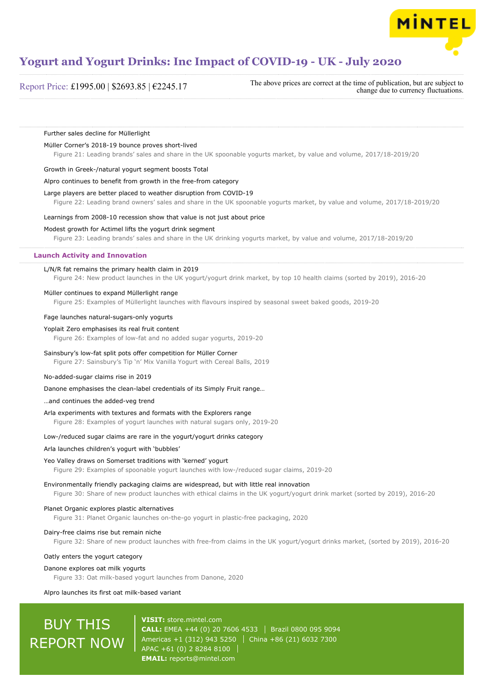

Report Price: £1995.00 | \$2693.85 | €2245.17

The above prices are correct at the time of publication, but are subject to change due to currency fluctuations.

### Further sales decline for Müllerlight

### Müller Corner's 2018-19 bounce proves short-lived

Figure 21: Leading brands' sales and share in the UK spoonable yogurts market, by value and volume, 2017/18-2019/20

### Growth in Greek-/natural yogurt segment boosts Total

### Alpro continues to benefit from growth in the free-from category

### Large players are better placed to weather disruption from COVID-19

Figure 22: Leading brand owners' sales and share in the UK spoonable yogurts market, by value and volume, 2017/18-2019/20

### Learnings from 2008-10 recession show that value is not just about price

### Modest growth for Actimel lifts the yogurt drink segment

Figure 23: Leading brands' sales and share in the UK drinking yogurts market, by value and volume, 2017/18-2019/20

### **Launch Activity and Innovation**

### L/N/R fat remains the primary health claim in 2019

Figure 24: New product launches in the UK yogurt/yogurt drink market, by top 10 health claims (sorted by 2019), 2016-20

### Müller continues to expand Müllerlight range

Figure 25: Examples of Müllerlight launches with flavours inspired by seasonal sweet baked goods, 2019-20

### Fage launches natural-sugars-only yogurts

#### Yoplait Zero emphasises its real fruit content

Figure 26: Examples of low-fat and no added sugar yogurts, 2019-20

### Sainsbury's low-fat split pots offer competition for Müller Corner

Figure 27: Sainsbury's Tip 'n' Mix Vanilla Yogurt with Cereal Balls, 2019

### No-added-sugar claims rise in 2019

Danone emphasises the clean-label credentials of its Simply Fruit range…

### …and continues the added-veg trend

### Arla experiments with textures and formats with the Explorers range

Figure 28: Examples of yogurt launches with natural sugars only, 2019-20

### Low-/reduced sugar claims are rare in the yogurt/yogurt drinks category

### Arla launches children's yogurt with 'bubbles'

### Yeo Valley draws on Somerset traditions with 'kerned' yogurt

Figure 29: Examples of spoonable yogurt launches with low-/reduced sugar claims, 2019-20

Environmentally friendly packaging claims are widespread, but with little real innovation

Figure 30: Share of new product launches with ethical claims in the UK yogurt/yogurt drink market (sorted by 2019), 2016-20

### Planet Organic explores plastic alternatives

Figure 31: Planet Organic launches on-the-go yogurt in plastic-free packaging, 2020

### Dairy-free claims rise but remain niche

Figure 32: Share of new product launches with free-from claims in the UK yogurt/yogurt drinks market, (sorted by 2019), 2016-20

### Oatly enters the yogurt category

### Danone explores oat milk yogurts

Figure 33: Oat milk-based yogurt launches from Danone, 2020

### Alpro launches its first oat milk-based variant

# **BUY THIS** REPORT NOW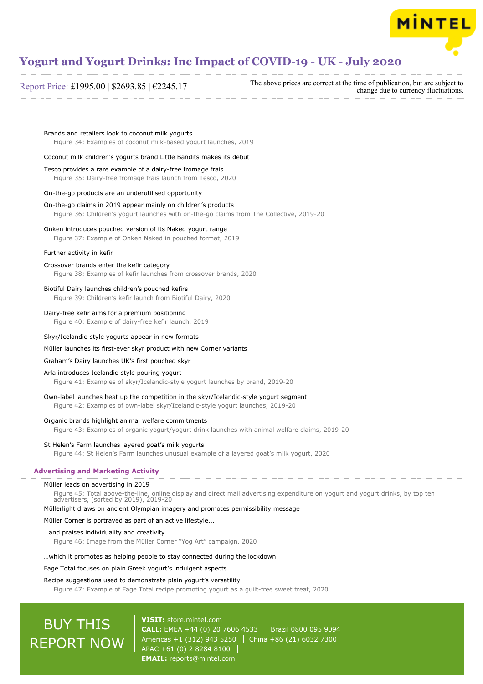

### Report Price: £1995.00 | \$2693.85 | €2245.17

The above prices are correct at the time of publication, but are subject to change due to currency fluctuations.

**MINTEL** 

Brands and retailers look to coconut milk yogurts Figure 34: Examples of coconut milk-based yogurt launches, 2019

### Coconut milk children's yogurts brand Little Bandits makes its debut

Tesco provides a rare example of a dairy-free fromage frais

Figure 35: Dairy-free fromage frais launch from Tesco, 2020

### On-the-go products are an underutilised opportunity

On-the-go claims in 2019 appear mainly on children's products Figure 36: Children's yogurt launches with on-the-go claims from The Collective, 2019-20

### Onken introduces pouched version of its Naked yogurt range

Figure 37: Example of Onken Naked in pouched format, 2019

### Further activity in kefir

### Crossover brands enter the kefir category

Figure 38: Examples of kefir launches from crossover brands, 2020

### Biotiful Dairy launches children's pouched kefirs

Figure 39: Children's kefir launch from Biotiful Dairy, 2020

#### Dairy-free kefir aims for a premium positioning

Figure 40: Example of dairy-free kefir launch, 2019

### Skyr/Icelandic-style yogurts appear in new formats

### Müller launches its first-ever skyr product with new Corner variants

### Graham's Dairy launches UK's first pouched skyr

### Arla introduces Icelandic-style pouring yogurt

Figure 41: Examples of skyr/Icelandic-style yogurt launches by brand, 2019-20

### Own-label launches heat up the competition in the skyr/Icelandic-style yogurt segment

Figure 42: Examples of own-label skyr/Icelandic-style yogurt launches, 2019-20

### Organic brands highlight animal welfare commitments

Figure 43: Examples of organic yogurt/yogurt drink launches with animal welfare claims, 2019-20

### St Helen's Farm launches layered goat's milk yogurts

Figure 44: St Helen's Farm launches unusual example of a layered goat's milk yogurt, 2020

### **Advertising and Marketing Activity**

### Müller leads on advertising in 2019

Figure 45: Total above-the-line, online display and direct mail advertising expenditure on yogurt and yogurt drinks, by top ten advertisers, (sorted by 2019), 2019-20

### Müllerlight draws on ancient Olympian imagery and promotes permissibility message

### Müller Corner is portrayed as part of an active lifestyle...

#### …and praises individuality and creativity

Figure 46: Image from the Müller Corner "Yog Art" campaign, 2020

### …which it promotes as helping people to stay connected during the lockdown

### Fage Total focuses on plain Greek yogurt's indulgent aspects

### Recipe suggestions used to demonstrate plain yogurt's versatility

Figure 47: Example of Fage Total recipe promoting yogurt as a guilt-free sweet treat, 2020

# **BUY THIS** REPORT NOW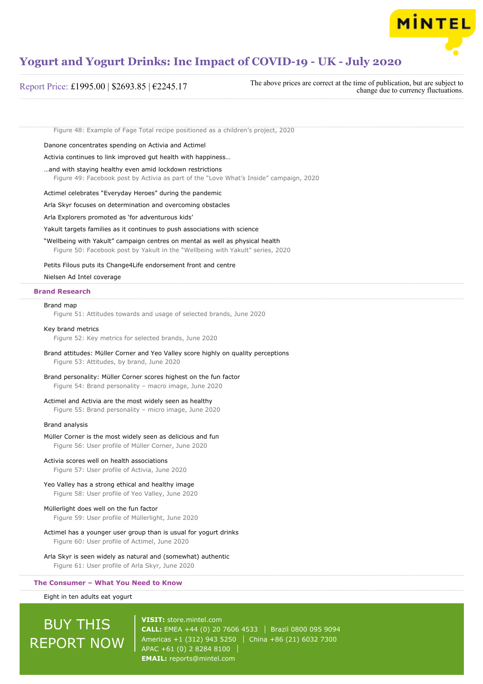

### Report Price: £1995.00 | \$2693.85 | €2245.17

The above prices are correct at the time of publication, but are subject to change due to currency fluctuations.

Figure 48: Example of Fage Total recipe positioned as a children's project, 2020

Danone concentrates spending on Activia and Actimel

Activia continues to link improved gut health with happiness…

### …and with staying healthy even amid lockdown restrictions

Figure 49: Facebook post by Activia as part of the "Love What's Inside" campaign, 2020

Actimel celebrates "Everyday Heroes" during the pandemic

Arla Skyr focuses on determination and overcoming obstacles

Arla Explorers promoted as 'for adventurous kids'

Yakult targets families as it continues to push associations with science

"Wellbeing with Yakult" campaign centres on mental as well as physical health

Figure 50: Facebook post by Yakult in the "Wellbeing with Yakult" series, 2020

### Petits Filous puts its Change4Life endorsement front and centre

### Nielsen Ad Intel coverage

### **Brand Research**

### Brand map

Figure 51: Attitudes towards and usage of selected brands, June 2020

#### Key brand metrics

Figure 52: Key metrics for selected brands, June 2020

### Brand attitudes: Müller Corner and Yeo Valley score highly on quality perceptions Figure 53: Attitudes, by brand, June 2020

### Brand personality: Müller Corner scores highest on the fun factor Figure 54: Brand personality – macro image, June 2020

## Actimel and Activia are the most widely seen as healthy

Figure 55: Brand personality – micro image, June 2020

### Brand analysis

### Müller Corner is the most widely seen as delicious and fun

Figure 56: User profile of Müller Corner, June 2020

### Activia scores well on health associations

Figure 57: User profile of Activia, June 2020

### Yeo Valley has a strong ethical and healthy image

Figure 58: User profile of Yeo Valley, June 2020

### Müllerlight does well on the fun factor

Figure 59: User profile of Müllerlight, June 2020

Actimel has a younger user group than is usual for yogurt drinks

Figure 60: User profile of Actimel, June 2020

### Arla Skyr is seen widely as natural and (somewhat) authentic

Figure 61: User profile of Arla Skyr, June 2020

### **The Consumer – What You Need to Know**

Eight in ten adults eat yogurt

# BUY THIS REPORT NOW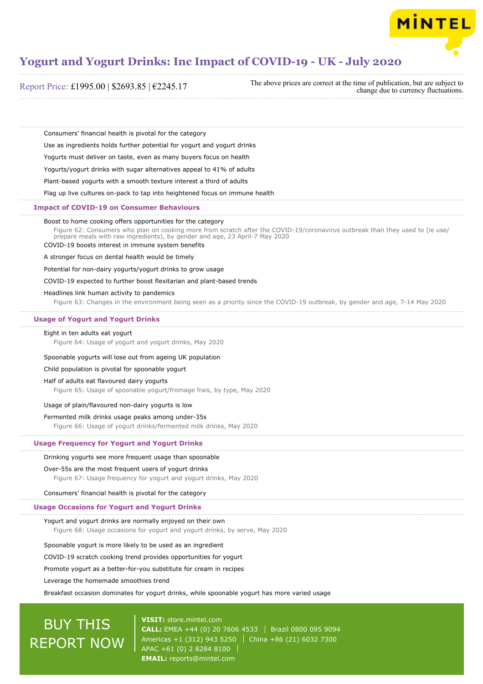

Report Price: £1995.00 | \$2693.85 | €2245.17

The above prices are correct at the time of publication, but are subject to change due to currency fluctuations.

Consumers' financial health is pivotal for the category

Use as ingredients holds further potential for yogurt and yogurt drinks

Yogurts must deliver on taste, even as many buyers focus on health

Yogurts/yogurt drinks with sugar alternatives appeal to 41% of adults

Plant-based yogurts with a smooth texture interest a third of adults

Flag up live cultures on-pack to tap into heightened focus on immune health

### **Impact of COVID-19 on Consumer Behaviours**

### Boost to home cooking offers opportunities for the category

Figure 62: Consumers who plan on cooking more from scratch after the COVID-19/coronavirus outbreak than they used to (ie use/ prepare meals with raw ingredients), by gender and age, 23 April-7 May 2020 COVID-19 boosts interest in immune system benefits

A stronger focus on dental health would be timely

Potential for non-dairy yogurts/yogurt drinks to grow usage

COVID-19 expected to further boost flexitarian and plant-based trends

Headlines link human activity to pandemics

Figure 63: Changes in the environment being seen as a priority since the COVID-19 outbreak, by gender and age, 7-14 May 2020

### **Usage of Yogurt and Yogurt Drinks**

### Eight in ten adults eat yogurt

Figure 64: Usage of yogurt and yogurt drinks, May 2020

### Spoonable yogurts will lose out from ageing UK population

Child population is pivotal for spoonable yogurt

### Half of adults eat flavoured dairy yogurts

Figure 65: Usage of spoonable yogurt/fromage frais, by type, May 2020

### Usage of plain/flavoured non-dairy yogurts is low

### Fermented milk drinks usage peaks among under-35s

Figure 66: Usage of yogurt drinks/fermented milk drinks, May 2020

### **Usage Frequency for Yogurt and Yogurt Drinks**

### Drinking yogurts see more frequent usage than spoonable

### Over-55s are the most frequent users of yogurt drinks

Figure 67: Usage frequency for yogurt and yogurt drinks, May 2020

Consumers' financial health is pivotal for the category

### **Usage Occasions for Yogurt and Yogurt Drinks**

### Yogurt and yogurt drinks are normally enjoyed on their own

Figure 68: Usage occasions for yogurt and yogurt drinks, by serve, May 2020

Spoonable yogurt is more likely to be used as an ingredient

### COVID-19 scratch cooking trend provides opportunities for yogurt

Promote yogurt as a better-for-you substitute for cream in recipes

Leverage the homemade smoothies trend

### Breakfast occasion dominates for yogurt drinks, while spoonable yogurt has more varied usage

# BUY THIS REPORT NOW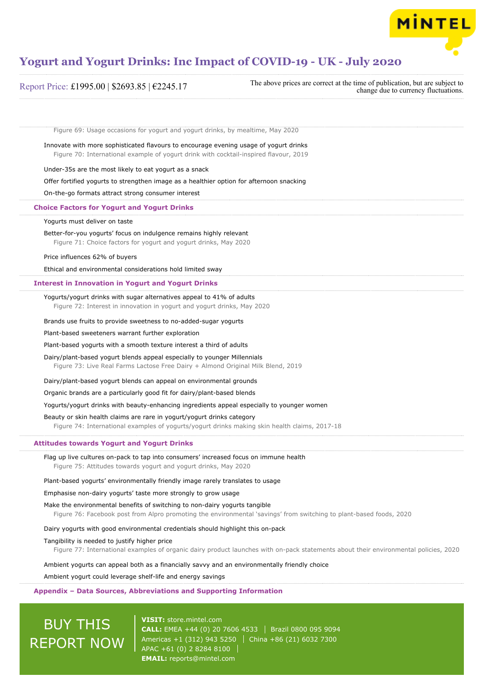

| Report Price: £1995.00   \$2693.85   $€2245.17$ |  |  |  |
|-------------------------------------------------|--|--|--|
|-------------------------------------------------|--|--|--|

The above prices are correct at the time of publication, but are subject to change due to currency fluctuations.

Figure 69: Usage occasions for yogurt and yogurt drinks, by mealtime, May 2020

Innovate with more sophisticated flavours to encourage evening usage of yogurt drinks Figure 70: International example of yogurt drink with cocktail-inspired flavour, 2019

Under-35s are the most likely to eat yogurt as a snack

Offer fortified yogurts to strengthen image as a healthier option for afternoon snacking

On-the-go formats attract strong consumer interest

### **Choice Factors for Yogurt and Yogurt Drinks**

### Yogurts must deliver on taste

Better-for-you yogurts' focus on indulgence remains highly relevant Figure 71: Choice factors for yogurt and yogurt drinks, May 2020

### Price influences 62% of buyers

Ethical and environmental considerations hold limited sway

### **Interest in Innovation in Yogurt and Yogurt Drinks**

Yogurts/yogurt drinks with sugar alternatives appeal to 41% of adults Figure 72: Interest in innovation in yogurt and yogurt drinks, May 2020

#### Brands use fruits to provide sweetness to no-added-sugar yogurts

Plant-based sweeteners warrant further exploration

### Plant-based yogurts with a smooth texture interest a third of adults

Dairy/plant-based yogurt blends appeal especially to younger Millennials

Figure 73: Live Real Farms Lactose Free Dairy + Almond Original Milk Blend, 2019

Dairy/plant-based yogurt blends can appeal on environmental grounds

Organic brands are a particularly good fit for dairy/plant-based blends

Yogurts/yogurt drinks with beauty-enhancing ingredients appeal especially to younger women

### Beauty or skin health claims are rare in yogurt/yogurt drinks category

Figure 74: International examples of yogurts/yogurt drinks making skin health claims, 2017-18

### **Attitudes towards Yogurt and Yogurt Drinks**

Flag up live cultures on-pack to tap into consumers' increased focus on immune health Figure 75: Attitudes towards yogurt and yogurt drinks, May 2020

### Plant-based yogurts' environmentally friendly image rarely translates to usage

### Emphasise non-dairy yogurts' taste more strongly to grow usage

Make the environmental benefits of switching to non-dairy yogurts tangible Figure 76: Facebook post from Alpro promoting the environmental 'savings' from switching to plant-based foods, 2020

### Dairy yogurts with good environmental credentials should highlight this on-pack

### Tangibility is needed to justify higher price

Figure 77: International examples of organic dairy product launches with on-pack statements about their environmental policies, 2020

Ambient yogurts can appeal both as a financially savvy and an environmentally friendly choice

### Ambient yogurt could leverage shelf-life and energy savings

### **Appendix – Data Sources, Abbreviations and Supporting Information**

# BUY THIS REPORT NOW